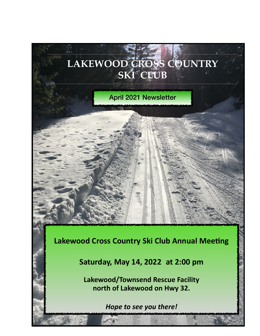

**north of Lakewood on Hwy 32.** 

*Hope to see you there!*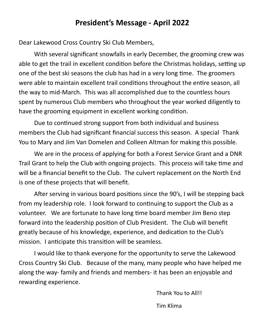## **President's Message - April 2022**

Dear Lakewood Cross Country Ski Club Members,

With several significant snowfalls in early December, the grooming crew was able to get the trail in excellent condition before the Christmas holidays, setting up one of the best ski seasons the club has had in a very long time. The groomers were able to maintain excellent trail conditions throughout the entire season, all the way to mid-March. This was all accomplished due to the countless hours spent by numerous Club members who throughout the year worked diligently to have the grooming equipment in excellent working condition.

Due to continued strong support from both individual and business members the Club had significant financial success this season. A special Thank You to Mary and Jim Van Domelen and Colleen Altman for making this possible.

We are in the process of applying for both a Forest Service Grant and a DNR Trail Grant to help the Club with ongoing projects. This process will take time and will be a financial benefit to the Club. The culvert replacement on the North End is one of these projects that will benefit.

After serving in various board positions since the 90's, I will be stepping back from my leadership role. I look forward to continuing to support the Club as a volunteer. We are fortunate to have long time board member Jim Beno step forward into the leadership position of Club President. The Club will benefit greatly because of his knowledge, experience, and dedication to the Club's mission. I anticipate this transition will be seamless.

 I would like to thank everyone for the opportunity to serve the Lakewood Cross Country Ski Club. Because of the many, many people who have helped me along the way- family and friends and members- it has been an enjoyable and rewarding experience.

Thank You to All!!

Tim Klima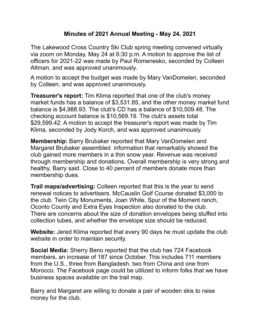## **Minutes of 2021 Annual Meeting - May 24, 2021**

The Lakewood Cross Country Ski Club spring meeting convened virtually via zoom on Monday, May 24 at 6:30 p.m. A motion to approve the list of officers for 2021-22 was made by Paul Romenesko, seconded by Colleen Altman, and was approved unanimously.

A motion to accept the budget was made by Mary VanDomelen, seconded by Colleen, and was approved unanimously.

**Treasurer's report:** Tim Klima reported that one of the club's money market funds has a balance of \$3,531.85, and the other money market fund balance is \$4,988.93. The club's CD has a balance of \$10,509.48. The checking account balance is \$10,569.19. The club's assets total \$29,599.42. A motion to accept the treasurer's report was made by Tim Klima, seconded by Jody Korch, and was approved unanimously.

**Membership:** Barry Brubaker reported that Mary VanDomelen and Margaret Brubaker assembled information that remarkably showed the club gained more members in a thin snow year. Revenue was received through membership and donations. Overall membership is very strong and healthy, Barry said. Close to 40 percent of members donate more than membership dues.

**Trail maps/advertising:** Colleen reported that this is the year to send renewal notices to advertisers. McCauslin Golf Course donated \$3,000 to the club. Twin City Monuments, Joan White, Spur of the Moment ranch, Oconto County and Extra Eyes Inspection also donated to the club. There are concerns about the size of donation envelopes being stuffed into collection tubes, and whether the envelope size should be reduced.

**Website:** Jered Klima reported that every 90 days he must update the club website in order to maintain security.

**Social Media:** Sherry Beno reported that the club has 724 Facebook members, an increase of 187 since October. This includes 711 members from the U.S., three from Bangladesh, two from China and one from Morocco. The Facebook page could be utilized to inform folks that we have business spaces available on the trail map.

Barry and Margaret are willing to donate a pair of wooden skis to raise money for the club.